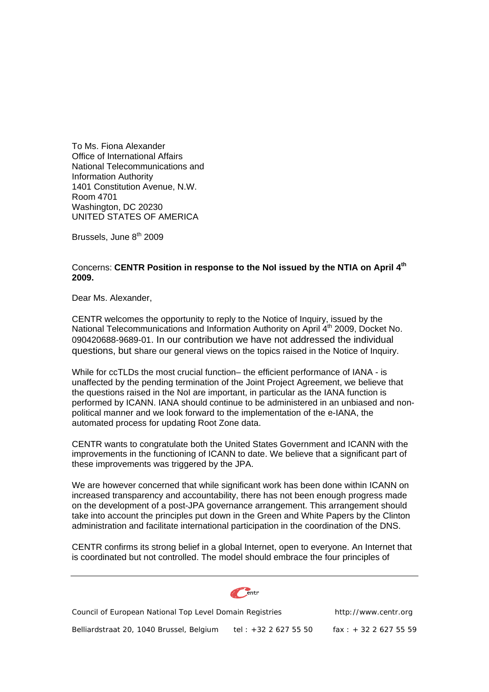To Ms. Fiona Alexander Office of International Affairs National Telecommunications and Information Authority 1401 Constitution Avenue, N.W. Room 4701 Washington, DC 20230 UNITED STATES OF AMERICA

Brussels, June 8<sup>th</sup> 2009

## Concerns: **CENTR Position in response to the NoI issued by the NTIA on April 4th 2009.**

Dear Ms. Alexander,

CENTR welcomes the opportunity to reply to the Notice of Inquiry, issued by the National Telecommunications and Information Authority on April 4<sup>th</sup> 2009, Docket No. 090420688-9689-01. In our contribution we have not addressed the individual questions, but share our general views on the topics raised in the Notice of Inquiry.

While for ccTLDs the most crucial function- the efficient performance of IANA - is unaffected by the pending termination of the Joint Project Agreement, we believe that the questions raised in the NoI are important, in particular as the IANA function is performed by ICANN. IANA should continue to be administered in an unbiased and nonpolitical manner and we look forward to the implementation of the e-IANA, the automated process for updating Root Zone data.

CENTR wants to congratulate both the United States Government and ICANN with the improvements in the functioning of ICANN to date. We believe that a significant part of these improvements was triggered by the JPA.

We are however concerned that while significant work has been done within ICANN on increased transparency and accountability, there has not been enough progress made on the development of a post-JPA governance arrangement. This arrangement should take into account the principles put down in the Green and White Papers by the Clinton administration and facilitate international participation in the coordination of the DNS.

CENTR confirms its strong belief in a global Internet, open to everyone. An Internet that is coordinated but not controlled. The model should embrace the four principles of

Council of European National Top Level Domain Registries http://www.centr.org Belliardstraat 20, 1040 Brussel, Belgium tel : +32 2 627 55 50 fax : + 32 2 627 55 59